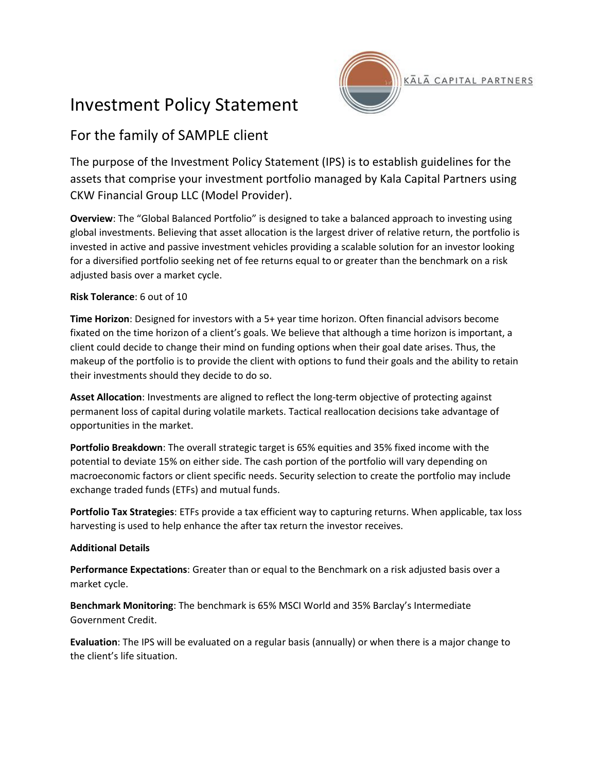## Investment Policy Statement



## For the family of SAMPLE client

The purpose of the Investment Policy Statement (IPS) is to establish guidelines for the assets that comprise your investment portfolio managed by Kala Capital Partners using CKW Financial Group LLC (Model Provider).

**Overview**: The "Global Balanced Portfolio" is designed to take a balanced approach to investing using global investments. Believing that asset allocation is the largest driver of relative return, the portfolio is invested in active and passive investment vehicles providing a scalable solution for an investor looking for a diversified portfolio seeking net of fee returns equal to or greater than the benchmark on a risk adjusted basis over a market cycle.

## **Risk Tolerance**: 6 out of 10

**Time Horizon**: Designed for investors with a 5+ year time horizon. Often financial advisors become fixated on the time horizon of a client's goals. We believe that although a time horizon is important, a client could decide to change their mind on funding options when their goal date arises. Thus, the makeup of the portfolio is to provide the client with options to fund their goals and the ability to retain their investments should they decide to do so.

**Asset Allocation**: Investments are aligned to reflect the long-term objective of protecting against permanent loss of capital during volatile markets. Tactical reallocation decisions take advantage of opportunities in the market.

**Portfolio Breakdown**: The overall strategic target is 65% equities and 35% fixed income with the potential to deviate 15% on either side. The cash portion of the portfolio will vary depending on macroeconomic factors or client specific needs. Security selection to create the portfolio may include exchange traded funds (ETFs) and mutual funds.

**Portfolio Tax Strategies**: ETFs provide a tax efficient way to capturing returns. When applicable, tax loss harvesting is used to help enhance the after tax return the investor receives.

## **Additional Details**

**Performance Expectations**: Greater than or equal to the Benchmark on a risk adjusted basis over a market cycle.

**Benchmark Monitoring**: The benchmark is 65% MSCI World and 35% Barclay's Intermediate Government Credit.

**Evaluation**: The IPS will be evaluated on a regular basis (annually) or when there is a major change to the client's life situation.